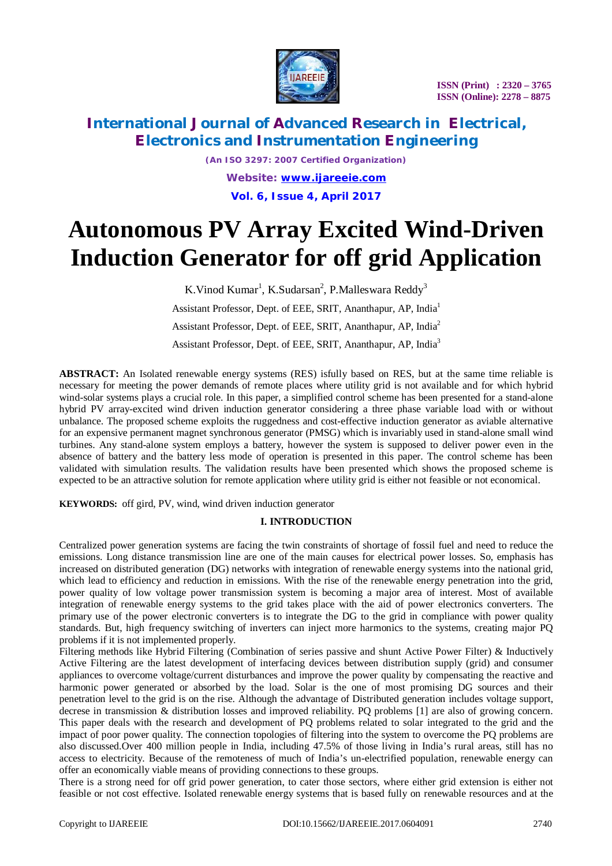

*(An ISO 3297: 2007 Certified Organization) Website: [www.ijareeie.com](http://www.ijareeie.com)* **Vol. 6, Issue 4, April 2017**

# **Autonomous PV Array Excited Wind-Driven Induction Generator for off grid Application**

K. Vinod Kumar<sup>1</sup>, K. Sudarsan<sup>2</sup>, P. Malleswara Reddy<sup>3</sup> Assistant Professor, Dept. of EEE, SRIT, Ananthapur, AP, India<sup>1</sup> Assistant Professor, Dept. of EEE, SRIT, Ananthapur, AP, India<sup>2</sup> Assistant Professor, Dept. of EEE, SRIT, Ananthapur, AP, India<sup>3</sup>

**ABSTRACT:** An Isolated renewable energy systems (RES) isfully based on RES, but at the same time reliable is necessary for meeting the power demands of remote places where utility grid is not available and for which hybrid wind-solar systems plays a crucial role. In this paper, a simplified control scheme has been presented for a stand-alone hybrid PV array-excited wind driven induction generator considering a three phase variable load with or without unbalance. The proposed scheme exploits the ruggedness and cost-effective induction generator as aviable alternative for an expensive permanent magnet synchronous generator (PMSG) which is invariably used in stand-alone small wind turbines. Any stand-alone system employs a battery, however the system is supposed to deliver power even in the absence of battery and the battery less mode of operation is presented in this paper. The control scheme has been validated with simulation results. The validation results have been presented which shows the proposed scheme is expected to be an attractive solution for remote application where utility grid is either not feasible or not economical.

**KEYWORDS:** off gird, PV, wind, wind driven induction generator

### **I. INTRODUCTION**

Centralized power generation systems are facing the twin constraints of shortage of fossil fuel and need to reduce the emissions. Long distance transmission line are one of the main causes for electrical power losses. So, emphasis has increased on distributed generation (DG) networks with integration of renewable energy systems into the national grid, which lead to efficiency and reduction in emissions. With the rise of the renewable energy penetration into the grid, power quality of low voltage power transmission system is becoming a major area of interest. Most of available integration of renewable energy systems to the grid takes place with the aid of power electronics converters. The primary use of the power electronic converters is to integrate the DG to the grid in compliance with power quality standards. But, high frequency switching of inverters can inject more harmonics to the systems, creating major PQ problems if it is not implemented properly.

Filtering methods like Hybrid Filtering (Combination of series passive and shunt Active Power Filter) & Inductively Active Filtering are the latest development of interfacing devices between distribution supply (grid) and consumer appliances to overcome voltage/current disturbances and improve the power quality by compensating the reactive and harmonic power generated or absorbed by the load. Solar is the one of most promising DG sources and their penetration level to the grid is on the rise. Although the advantage of Distributed generation includes voltage support, decrese in transmission & distribution losses and improved reliability. PQ problems [1] are also of growing concern. This paper deals with the research and development of PQ problems related to solar integrated to the grid and the impact of poor power quality. The connection topologies of filtering into the system to overcome the PQ problems are also discussed.Over 400 million people in India, including 47.5% of those living in India's rural areas, still has no access to electricity. Because of the remoteness of much of India's un-electrified population, renewable energy can offer an economically viable means of providing connections to these groups.

There is a strong need for off grid power generation, to cater those sectors, where either grid extension is either not feasible or not cost effective. Isolated renewable energy systems that is based fully on renewable resources and at the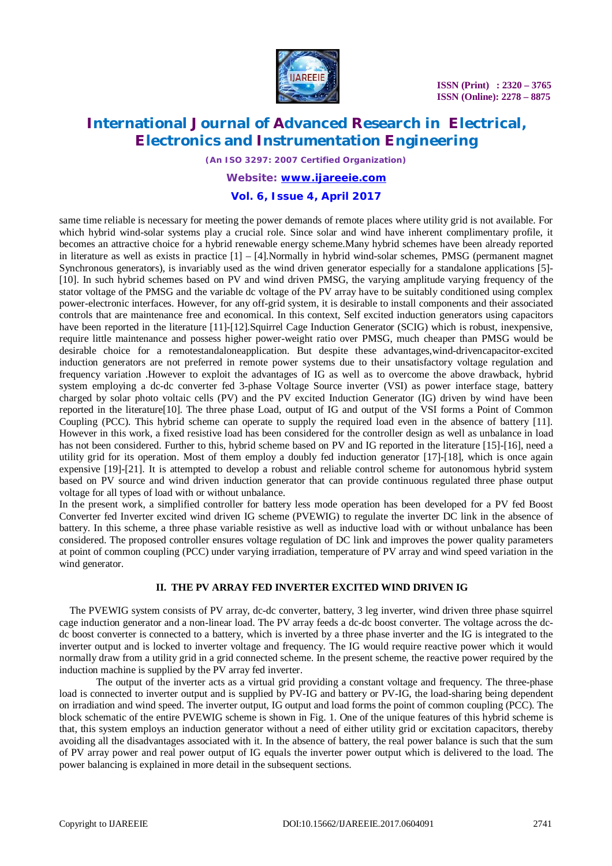

*(An ISO 3297: 2007 Certified Organization)*

### *Website: [www.ijareeie.com](http://www.ijareeie.com)*

### **Vol. 6, Issue 4, April 2017**

same time reliable is necessary for meeting the power demands of remote places where utility grid is not available. For which hybrid wind-solar systems play a crucial role. Since solar and wind have inherent complimentary profile, it becomes an attractive choice for a hybrid renewable energy scheme.Many hybrid schemes have been already reported in literature as well as exists in practice [1] – [4].Normally in hybrid wind-solar schemes, PMSG (permanent magnet Synchronous generators), is invariably used as the wind driven generator especially for a standalone applications [5]- [10]. In such hybrid schemes based on PV and wind driven PMSG, the varying amplitude varying frequency of the stator voltage of the PMSG and the variable dc voltage of the PV array have to be suitably conditioned using complex power-electronic interfaces. However, for any off-grid system, it is desirable to install components and their associated controls that are maintenance free and economical. In this context, Self excited induction generators using capacitors have been reported in the literature [11]-[12]. Squirrel Cage Induction Generator (SCIG) which is robust, inexpensive, require little maintenance and possess higher power-weight ratio over PMSG, much cheaper than PMSG would be desirable choice for a remotestandaloneapplication. But despite these advantages,wind-drivencapacitor-excited induction generators are not preferred in remote power systems due to their unsatisfactory voltage regulation and frequency variation .However to exploit the advantages of IG as well as to overcome the above drawback, hybrid system employing a dc-dc converter fed 3-phase Voltage Source inverter (VSI) as power interface stage, battery charged by solar photo voltaic cells (PV) and the PV excited Induction Generator (IG) driven by wind have been reported in the literature[10]. The three phase Load, output of IG and output of the VSI forms a Point of Common Coupling (PCC). This hybrid scheme can operate to supply the required load even in the absence of battery [11]. However in this work, a fixed resistive load has been considered for the controller design as well as unbalance in load has not been considered. Further to this, hybrid scheme based on PV and IG reported in the literature [15]-[16], need a utility grid for its operation. Most of them employ a doubly fed induction generator [17]-[18], which is once again expensive [19]-[21]. It is attempted to develop a robust and reliable control scheme for autonomous hybrid system based on PV source and wind driven induction generator that can provide continuous regulated three phase output voltage for all types of load with or without unbalance.

In the present work, a simplified controller for battery less mode operation has been developed for a PV fed Boost Converter fed Inverter excited wind driven IG scheme (PVEWIG) to regulate the inverter DC link in the absence of battery. In this scheme, a three phase variable resistive as well as inductive load with or without unbalance has been considered. The proposed controller ensures voltage regulation of DC link and improves the power quality parameters at point of common coupling (PCC) under varying irradiation, temperature of PV array and wind speed variation in the wind generator.

#### **II. THE PV ARRAY FED INVERTER EXCITED WIND DRIVEN IG**

The PVEWIG system consists of PV array, dc-dc converter, battery, 3 leg inverter, wind driven three phase squirrel cage induction generator and a non-linear load. The PV array feeds a dc-dc boost converter. The voltage across the dcdc boost converter is connected to a battery, which is inverted by a three phase inverter and the IG is integrated to the inverter output and is locked to inverter voltage and frequency. The IG would require reactive power which it would normally draw from a utility grid in a grid connected scheme. In the present scheme, the reactive power required by the induction machine is supplied by the PV array fed inverter.

The output of the inverter acts as a virtual grid providing a constant voltage and frequency. The three-phase load is connected to inverter output and is supplied by PV-IG and battery or PV-IG, the load-sharing being dependent on irradiation and wind speed. The inverter output, IG output and load forms the point of common coupling (PCC). The block schematic of the entire PVEWIG scheme is shown in Fig. 1. One of the unique features of this hybrid scheme is that, this system employs an induction generator without a need of either utility grid or excitation capacitors, thereby avoiding all the disadvantages associated with it. In the absence of battery, the real power balance is such that the sum of PV array power and real power output of IG equals the inverter power output which is delivered to the load. The power balancing is explained in more detail in the subsequent sections.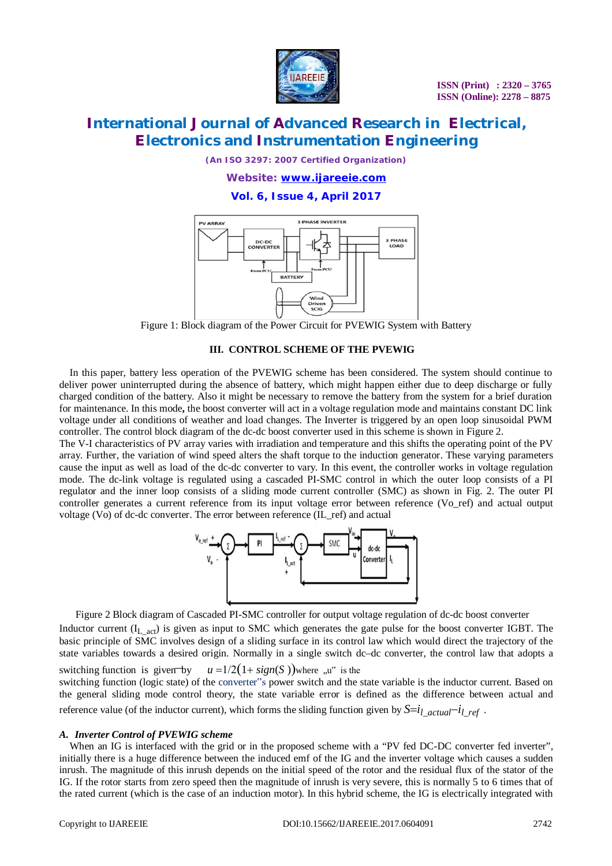

*(An ISO 3297: 2007 Certified Organization)*

*Website: [www.ijareeie.com](http://www.ijareeie.com)*

**Vol. 6, Issue 4, April 2017**



Figure 1: Block diagram of the Power Circuit for PVEWIG System with Battery

#### **III. CONTROL SCHEME OF THE PVEWIG**

In this paper, battery less operation of the PVEWIG scheme has been considered. The system should continue to deliver power uninterrupted during the absence of battery, which might happen either due to deep discharge or fully charged condition of the battery. Also it might be necessary to remove the battery from the system for a brief duration for maintenance. In this mode**,** the boost converter will act in a voltage regulation mode and maintains constant DC link voltage under all conditions of weather and load changes. The Inverter is triggered by an open loop sinusoidal PWM controller. The control block diagram of the dc-dc boost converter used in this scheme is shown in Figure 2.

The V-I characteristics of PV array varies with irradiation and temperature and this shifts the operating point of the PV array. Further, the variation of wind speed alters the shaft torque to the induction generator. These varying parameters cause the input as well as load of the dc-dc converter to vary. In this event, the controller works in voltage regulation mode. The dc-link voltage is regulated using a cascaded PI-SMC control in which the outer loop consists of a PI regulator and the inner loop consists of a sliding mode current controller (SMC) as shown in Fig. 2. The outer PI controller generates a current reference from its input voltage error between reference (Vo\_ref) and actual output voltage (Vo) of dc-dc converter. The error between reference (IL\_ref) and actual



Figure 2 Block diagram of Cascaded PI-SMC controller for output voltage regulation of dc-dc boost converter

Inductor current  $(I_L_{act})$  is given as input to SMC which generates the gate pulse for the boost converter IGBT. The basic principle of SMC involves design of a sliding surface in its control law which would direct the trajectory of the state variables towards a desired origin. Normally in a single switch dc–dc converter, the control law that adopts a switching function is given by  $u = 1/2(1 + sign(S))$  where  $\mu$ <sup>"</sup> is the

switching function (logic state) of the converter"s power switch and the state variable is the inductor current. Based on the general sliding mode control theory, the state variable error is defined as the difference between actual and reference value (of the inductor current), which forms the sliding function given by  $S=i_l$  *actual*<sup>-*i*</sup>l ref.

#### *A. Inverter Control of PVEWIG scheme*

When an IG is interfaced with the grid or in the proposed scheme with a "PV fed DC-DC converter fed inverter", initially there is a huge difference between the induced emf of the IG and the inverter voltage which causes a sudden inrush. The magnitude of this inrush depends on the initial speed of the rotor and the residual flux of the stator of the IG. If the rotor starts from zero speed then the magnitude of inrush is very severe, this is normally 5 to 6 times that of the rated current (which is the case of an induction motor). In this hybrid scheme, the IG is electrically integrated with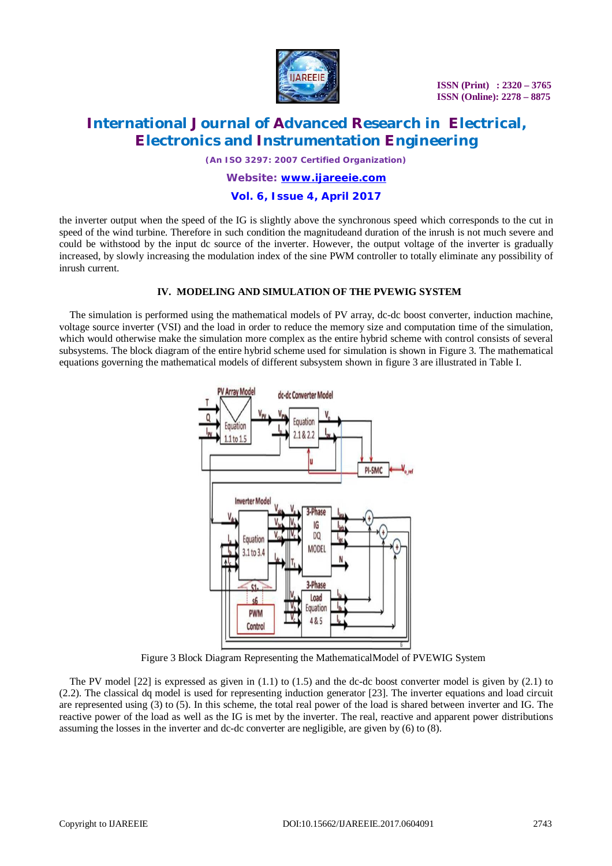

 **ISSN (Print) : 2320 – 3765 ISSN (Online): 2278 – 8875**

# **International Journal of Advanced Research in Electrical, Electronics and Instrumentation Engineering**

*(An ISO 3297: 2007 Certified Organization)*

### *Website: [www.ijareeie.com](http://www.ijareeie.com)*

### **Vol. 6, Issue 4, April 2017**

the inverter output when the speed of the IG is slightly above the synchronous speed which corresponds to the cut in speed of the wind turbine. Therefore in such condition the magnitudeand duration of the inrush is not much severe and could be withstood by the input dc source of the inverter. However, the output voltage of the inverter is gradually increased, by slowly increasing the modulation index of the sine PWM controller to totally eliminate any possibility of inrush current.

#### **IV. MODELING AND SIMULATION OF THE PVEWIG SYSTEM**

The simulation is performed using the mathematical models of PV array, dc-dc boost converter, induction machine, voltage source inverter (VSI) and the load in order to reduce the memory size and computation time of the simulation, which would otherwise make the simulation more complex as the entire hybrid scheme with control consists of several subsystems. The block diagram of the entire hybrid scheme used for simulation is shown in Figure 3. The mathematical equations governing the mathematical models of different subsystem shown in figure 3 are illustrated in Table I.



Figure 3 Block Diagram Representing the MathematicalModel of PVEWIG System

The PV model  $[22]$  is expressed as given in  $(1.1)$  to  $(1.5)$  and the dc-dc boost converter model is given by  $(2.1)$  to (2.2). The classical dq model is used for representing induction generator [23]. The inverter equations and load circuit are represented using (3) to (5). In this scheme, the total real power of the load is shared between inverter and IG. The reactive power of the load as well as the IG is met by the inverter. The real, reactive and apparent power distributions assuming the losses in the inverter and dc-dc converter are negligible, are given by (6) to (8).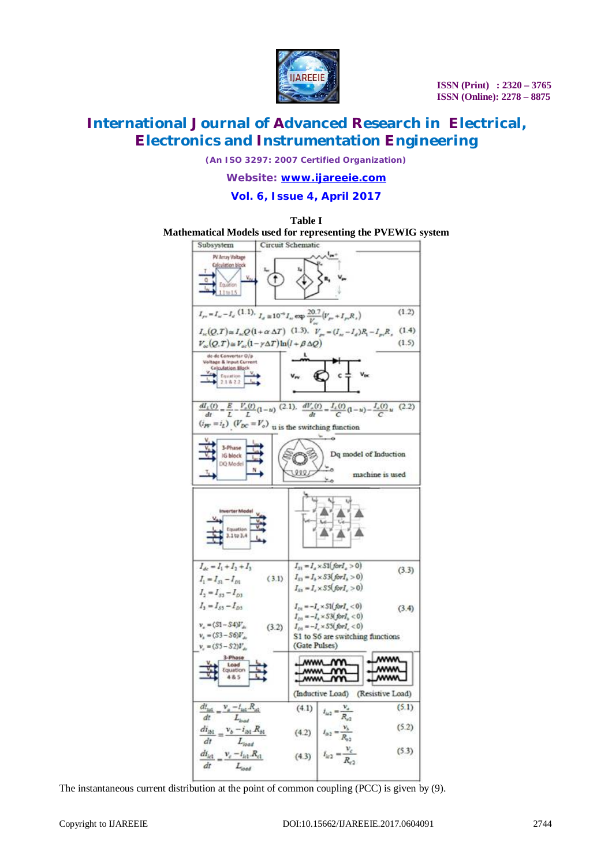

*(An ISO 3297: 2007 Certified Organization)*

*Website: [www.ijareeie.com](http://www.ijareeie.com)*

**Vol. 6, Issue 4, April 2017**



The instantaneous current distribution at the point of common coupling (PCC) is given by (9).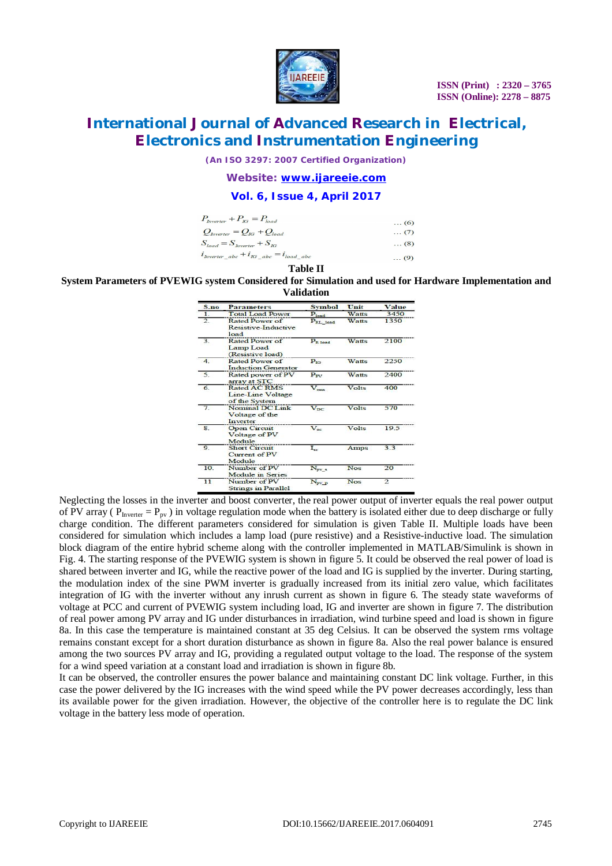

*(An ISO 3297: 2007 Certified Organization)*

*Website: [www.ijareeie.com](http://www.ijareeie.com)*

### **Vol. 6, Issue 4, April 2017**

| $P_{\text{Inverter}} + P_{\text{IG}} = P_{\text{load}}$ | $\ldots$ (6) |
|---------------------------------------------------------|--------------|
| $Q_{\text{Inverter}} = Q_{\text{IG}} + Q_{\text{load}}$ | $\ldots$ (7) |
| $S_{load} = S_{hverter} + S_{IG}$                       | $\ldots$ (8) |
| $i_{\text{Inverter}}$ abc $+i_{IG}$ abc $=i_{load}$ abc | $\ldots$ (9) |
|                                                         |              |

#### **Table II**

#### **System Parameters of PVEWIG system Considered for Simulation and used for Hardware Implementation and Validation**

| S.no           | <b>Parameters</b>                                  | <b>Symbol</b>        | Unit         | Value        |
|----------------|----------------------------------------------------|----------------------|--------------|--------------|
| 1.             | <b>Total Load Power</b>                            | $P_{load}$           | Watts        | 3450         |
| $\overline{2}$ | Rated Power of<br>Resistive-Inductive<br>load      | P <sub>RL_load</sub> | Watts        | 1350         |
| $\overline{3}$ | Rated Power of<br>Lamp Load<br>(Resistive load)    | P <sub>R</sub> load  | Watts        | 2100         |
| $\overline{4}$ | Rated Power of<br><b>Induction Generator</b>       | $P_{IG}$             | <b>Watts</b> | 2250         |
| $\overline{5}$ | Rated power of PV<br>array at STC                  | $P_{\rm{ov}}$        | Watts        | 2400         |
| 6              | Rated AC RMS<br>Line-Line Voltage<br>of the System | $V_{rms}$            | Volts        | 400          |
| 7              | Nominal DC Link<br>Voltage of the<br>Inverter      | $V_{DC}$             | Volts        | 570          |
| $\mathbf{g}$   | <b>Open Circuit</b><br>Voltage of PV<br>Module     | $V_{\alpha r}$       | Volts        | 19.5         |
| 9.             | <b>Short Circuit</b><br>Current of PV<br>Module    | $I_{sc}$             | Amps         | 3.3          |
| 10.            | Number of PV<br><b>Module</b> in Series            | $N_{pv\_s}$          | <b>Nos</b>   | 20           |
| 11             | Number of PV<br><b>Strings in Parallel</b>         | N <sub>pv</sub> p    | <b>Nos</b>   | $\mathbf{2}$ |

Neglecting the losses in the inverter and boost converter, the real power output of inverter equals the real power output of PV array ( $P_{\text{Inverse}} = P_{\text{pv}}$ ) in voltage regulation mode when the battery is isolated either due to deep discharge or fully charge condition. The different parameters considered for simulation is given Table II. Multiple loads have been considered for simulation which includes a lamp load (pure resistive) and a Resistive-inductive load. The simulation block diagram of the entire hybrid scheme along with the controller implemented in MATLAB/Simulink is shown in Fig. 4. The starting response of the PVEWIG system is shown in figure 5. It could be observed the real power of load is shared between inverter and IG, while the reactive power of the load and IG is supplied by the inverter. During starting, the modulation index of the sine PWM inverter is gradually increased from its initial zero value, which facilitates integration of IG with the inverter without any inrush current as shown in figure 6. The steady state waveforms of voltage at PCC and current of PVEWIG system including load, IG and inverter are shown in figure 7. The distribution of real power among PV array and IG under disturbances in irradiation, wind turbine speed and load is shown in figure 8a. In this case the temperature is maintained constant at 35 deg Celsius. It can be observed the system rms voltage remains constant except for a short duration disturbance as shown in figure 8a. Also the real power balance is ensured among the two sources PV array and IG, providing a regulated output voltage to the load. The response of the system for a wind speed variation at a constant load and irradiation is shown in figure 8b.

It can be observed, the controller ensures the power balance and maintaining constant DC link voltage. Further, in this case the power delivered by the IG increases with the wind speed while the PV power decreases accordingly, less than its available power for the given irradiation. However, the objective of the controller here is to regulate the DC link voltage in the battery less mode of operation.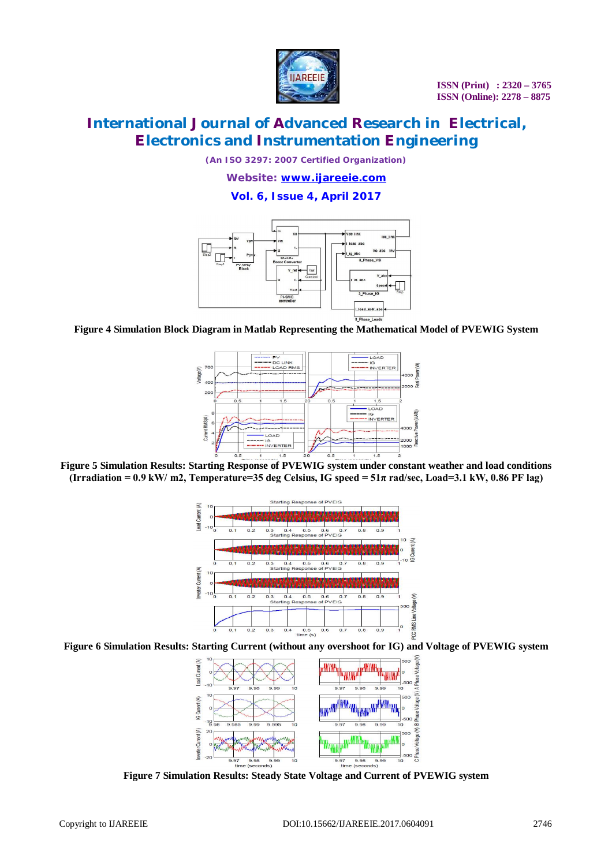

*(An ISO 3297: 2007 Certified Organization)*

*Website: [www.ijareeie.com](http://www.ijareeie.com)*

**Vol. 6, Issue 4, April 2017**



**Figure 4 Simulation Block Diagram in Matlab Representing the Mathematical Model of PVEWIG System**



**Figure 5 Simulation Results: Starting Response of PVEWIG system under constant weather and load conditions (Irradiation = 0.9 kW/ m2, Temperature=35 deg Celsius, IG speed = 51π rad/sec, Load=3.1 kW, 0.86 PF lag)**



**Figure 6 Simulation Results: Starting Current (without any overshoot for IG) and Voltage of PVEWIG system**



**Figure 7 Simulation Results: Steady State Voltage and Current of PVEWIG system**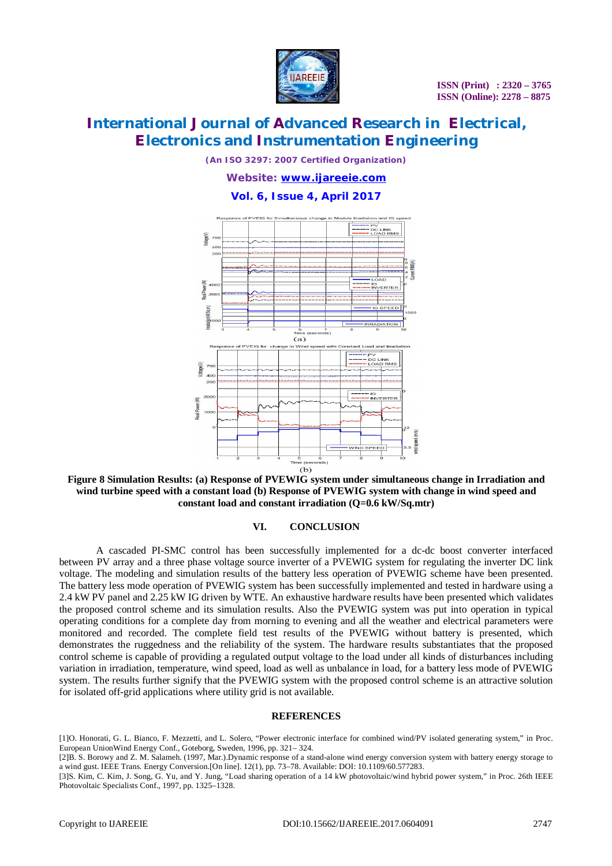

*(An ISO 3297: 2007 Certified Organization)*

*Website: [www.ijareeie.com](http://www.ijareeie.com)*

### **Vol. 6, Issue 4, April 2017**



**Figure 8 Simulation Results: (a) Response of PVEWIG system under simultaneous change in Irradiation and wind turbine speed with a constant load (b) Response of PVEWIG system with change in wind speed and constant load and constant irradiation (Q=0.6 kW/Sq.mtr)**

#### **VI. CONCLUSION**

A cascaded PI-SMC control has been successfully implemented for a dc-dc boost converter interfaced between PV array and a three phase voltage source inverter of a PVEWIG system for regulating the inverter DC link voltage. The modeling and simulation results of the battery less operation of PVEWIG scheme have been presented. The battery less mode operation of PVEWIG system has been successfully implemented and tested in hardware using a 2.4 kW PV panel and 2.25 kW IG driven by WTE. An exhaustive hardware results have been presented which validates the proposed control scheme and its simulation results. Also the PVEWIG system was put into operation in typical operating conditions for a complete day from morning to evening and all the weather and electrical parameters were monitored and recorded. The complete field test results of the PVEWIG without battery is presented, which demonstrates the ruggedness and the reliability of the system. The hardware results substantiates that the proposed control scheme is capable of providing a regulated output voltage to the load under all kinds of disturbances including variation in irradiation, temperature, wind speed, load as well as unbalance in load, for a battery less mode of PVEWIG system. The results further signify that the PVEWIG system with the proposed control scheme is an attractive solution for isolated off-grid applications where utility grid is not available.

#### **REFERENCES**

[1]O. Honorati, G. L. Bianco, F. Mezzetti, and L. Solero, "Power electronic interface for combined wind/PV isolated generating system," in Proc. European UnionWind Energy Conf., Goteborg, Sweden, 1996, pp. 321– 324.

[2]B. S. Borowy and Z. M. Salameh. (1997, Mar.).Dynamic response of a stand-alone wind energy conversion system with battery energy storage to a wind gust. IEEE Trans. Energy Conversion.[On line]. 12(1), pp. 73–78. Available: DOI: 10.1109/60.577283.

[3]S. Kim, C. Kim, J. Song, G. Yu, and Y. Jung, "Load sharing operation of a 14 kW photovoltaic/wind hybrid power system," in Proc. 26th IEEE Photovoltaic Specialists Conf., 1997, pp. 1325–1328.